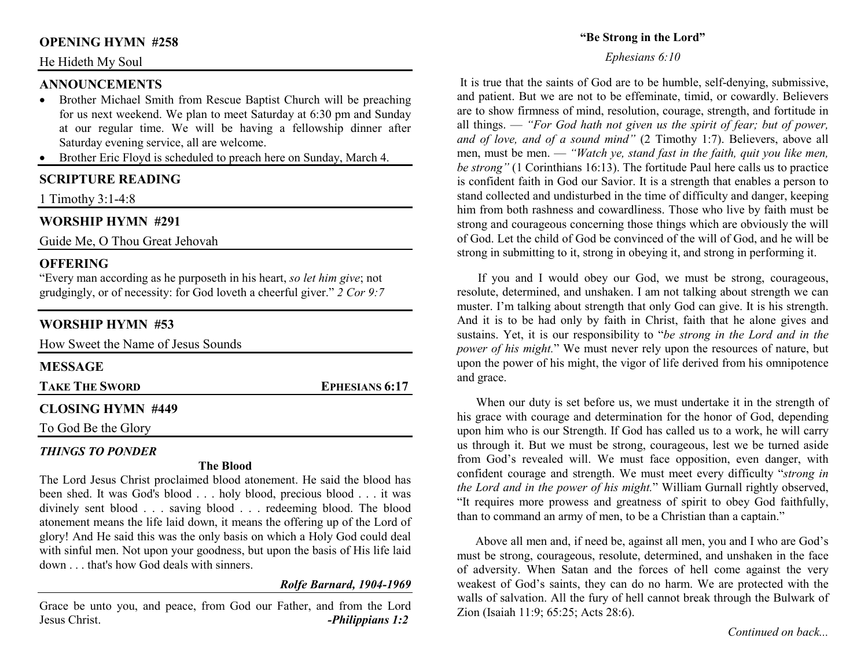#### **OPENING HYMN #258**

#### He Hideth My Soul

#### **ANNOUNCEMENTS**

- Brother Michael Smith from Rescue Baptist Church will be preaching •for us next weekend. We plan to meet Saturday at 6:30 pm and Sunday at our regular time. We will be having a fellowship dinner after Saturday evening service, all are welcome.
- Brother Eric Floyd is scheduled to preach here on Sunday, March 4.

#### **SCRIPTURE READING**

1 Timothy 3:1-4:8

#### **WORSHIP HYMN #291**

Guide Me, O Thou Great Jehovah

#### **OFFERING**

 "Every man according as he purposeth in his heart, *so let him give*; not grudgingly, or of necessity: for God loveth a cheerful giver." *2 Cor 9:7*

### **WORSHIP HYMN #53**

| How Sweet the Name of Jesus Sounds |                       |
|------------------------------------|-----------------------|
| <b>MESSAGE</b>                     |                       |
| <b>TAKE THE SWORD</b>              | <b>EPHESIANS 6:17</b> |
| <b>CLOSING HYMN #449</b>           |                       |
| To God Be the Glory                |                       |

#### *THINGS TO PONDER*

#### **The Blood**

 The Lord Jesus Christ proclaimed blood atonement. He said the blood has been shed. It was God's blood . . . holy blood, precious blood . . . it was divinely sent blood . . . saving blood . . . redeeming blood. The blood atonement means the life laid down, it means the offering up of the Lord of glory! And He said this was the only basis on which a Holy God could deal with sinful men. Not upon your goodness, but upon the basis of His life laid down . . . that's how God deals with sinners.

#### *Rolfe Barnard, 1904-1969*

Grace be unto you, and peace, from God our Father, and from the Lord Jesus Christ. *-Philippians 1:2*

#### **"Be Strong in the Lord"**

#### *Ephesians 6:10*

It is true that the saints of God are to be humble, self-denying, submissive, and patient. But we are not to be effeminate, timid, or cowardly. Believers are to show firmness of mind, resolution, courage, strength, and fortitude in all things. — *"For God hath not given us the spirit of fear; but of power, and of love, and of a sound mind"* (2 Timothy 1:7). Believers, above all men, must be men. — *"Watch ye, stand fast in the faith, quit you like men, be strong"* (1 Corinthians 16:13). The fortitude Paul here calls us to practice is confident faith in God our Savior. It is a strength that enables a person to stand collected and undisturbed in the time of difficulty and danger, keeping him from both rashness and cowardliness. Those who live by faith must be strong and courageous concerning those things which are obviously the will of God. Let the child of God be convinced of the will of God, and he will be strong in submitting to it, strong in obeying it, and strong in performing it.

 If you and I would obey our God, we must be strong, courageous, resolute, determined, and unshaken. I am not talking about strength we can muster. I'm talking about strength that only God can give. It is his strength. And it is to be had only by faith in Christ, faith that he alone gives and sustains. Yet, it is our responsibility to "*be strong in the Lord and in the power of his might.*" We must never rely upon the resources of nature, but upon the power of his might, the vigor of life derived from his omnipotence and grace.

 When our duty is set before us, we must undertake it in the strength of his grace with courage and determination for the honor of God, depending upon him who is our Strength. If God has called us to a work, he will carry us through it. But we must be strong, courageous, lest we be turned aside from God's revealed will. We must face opposition, even danger, with confident courage and strength. We must meet every difficulty "*strong in the Lord and in the power of his might.*" William Gurnall rightly observed, "It requires more prowess and greatness of spirit to obey God faithfully, than to command an army of men, to be a Christian than a captain."

 Above all men and, if need be, against all men, you and I who are God's must be strong, courageous, resolute, determined, and unshaken in the face of adversity. When Satan and the forces of hell come against the very weakest of God's saints, they can do no harm. We are protected with the walls of salvation. All the fury of hell cannot break through the Bulwark of Zion (Isaiah 11:9; 65:25; Acts 28:6).